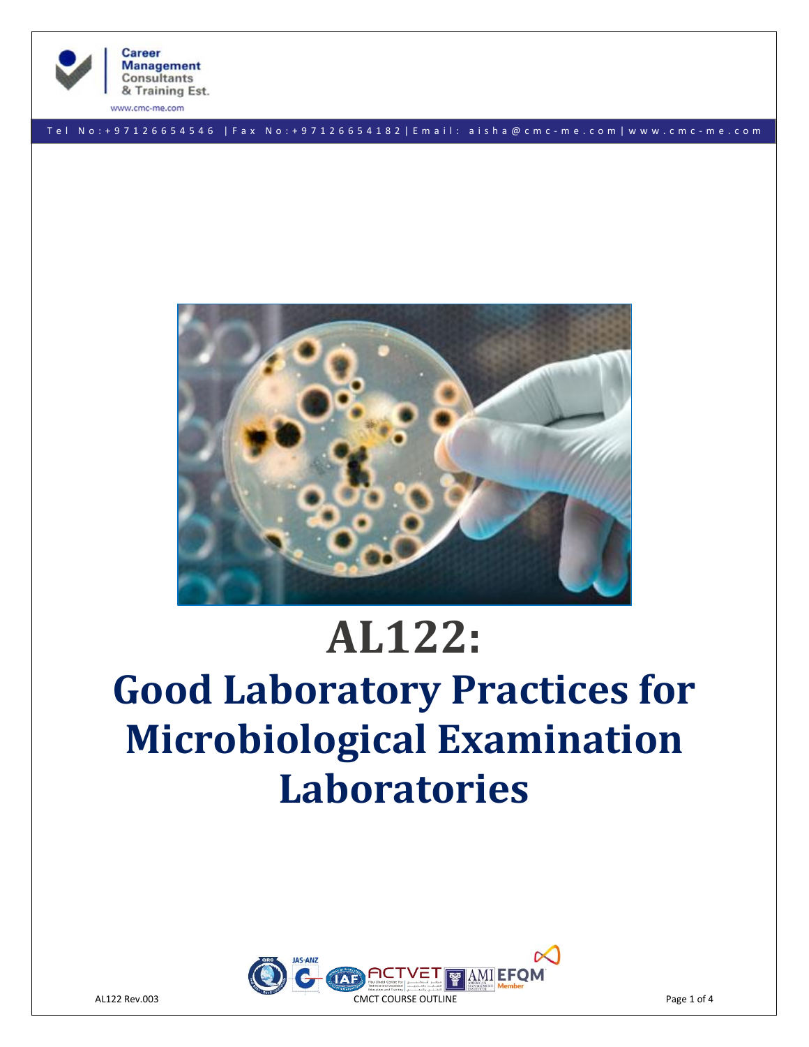

www.cmc-me.com

T e l N o : + 9 7 1 2 6 6 5 4 5 4 6 | F a x No: + 9 7 1 2 6 6 5 4 1 8 2 | E m a i l : a i s h a @ c m c - m e . c o m | w w w . c m c - m e . c o m



# **AL122:**

# **Good Laboratory Practices for Microbiological Examination Laboratories**

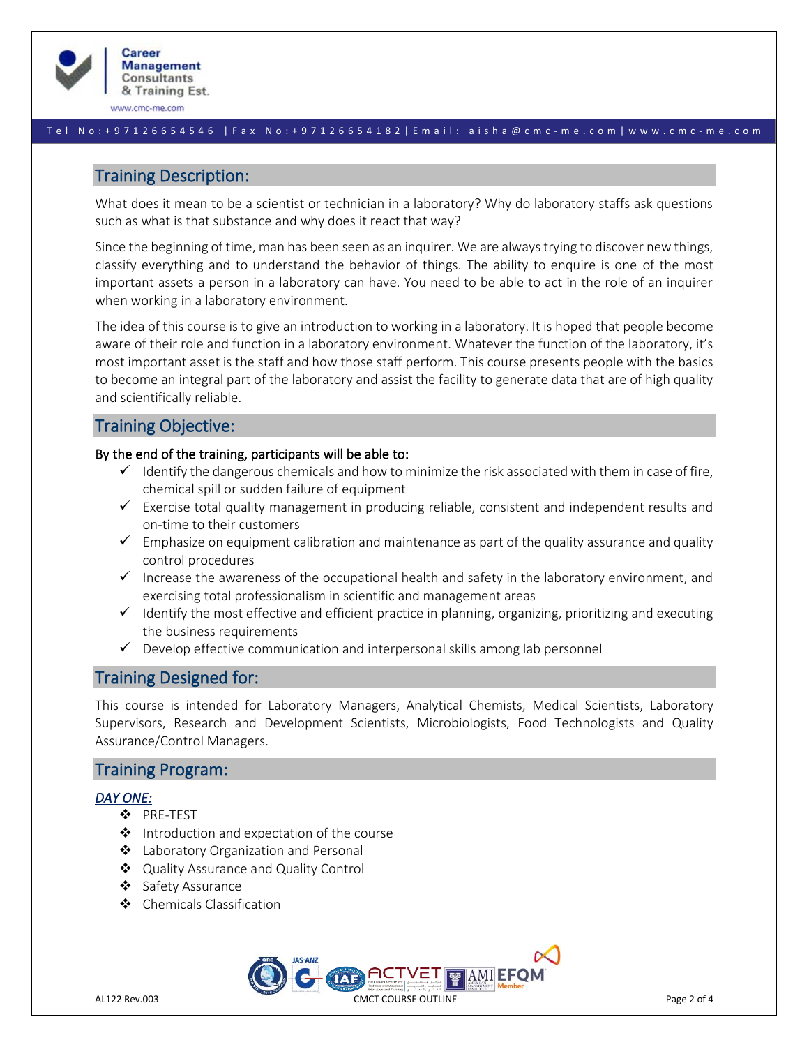

www.cmc-me.com

#### T e l N o : + 9 7 1 2 6 6 5 4 5 4 6 | F a x No: + 9 7 1 2 6 6 5 4 1 8 2 | E m a i l : a i s h a @ c m c - m e . c o m | w w w . c m c - m e . c o m

# Training Description:

What does it mean to be a scientist or technician in a laboratory? Why do laboratory staffs ask questions such as what is that substance and why does it react that way?

Since the beginning of time, man has been seen as an inquirer. We are always trying to discover new things, classify everything and to understand the behavior of things. The ability to enquire is one of the most important assets a person in a laboratory can have. You need to be able to act in the role of an inquirer when working in a laboratory environment.

The idea of this course is to give an introduction to working in a laboratory. It is hoped that people become aware of their role and function in a laboratory environment. Whatever the function of the laboratory, it's most important asset is the staff and how those staff perform. This course presents people with the basics to become an integral part of the laboratory and assist the facility to generate data that are of high quality and scientifically reliable.

# Training Objective:

### By the end of the training, participants will be able to:

- $\checkmark$  Identify the dangerous chemicals and how to minimize the risk associated with them in case of fire, chemical spill or sudden failure of equipment
- $\checkmark$  Exercise total quality management in producing reliable, consistent and independent results and on-time to their customers
- $\checkmark$  Emphasize on equipment calibration and maintenance as part of the quality assurance and quality control procedures
- ✓ Increase the awareness of the occupational health and safety in the laboratory environment, and exercising total professionalism in scientific and management areas
- $\checkmark$  Identify the most effective and efficient practice in planning, organizing, prioritizing and executing the business requirements
- $\checkmark$  Develop effective communication and interpersonal skills among lab personnel

## Training Designed for:

This course is intended for Laboratory Managers, Analytical Chemists, Medical Scientists, Laboratory Supervisors, Research and Development Scientists, Microbiologists, Food Technologists and Quality Assurance/Control Managers.

## Training Program:

#### *DAY ONE:*

- ❖ PRE-TEST
- ❖ Introduction and expectation of the course
- ❖ Laboratory Organization and Personal
- ❖ Quality Assurance and Quality Control
- ❖ Safety Assurance
- ❖ Chemicals Classification

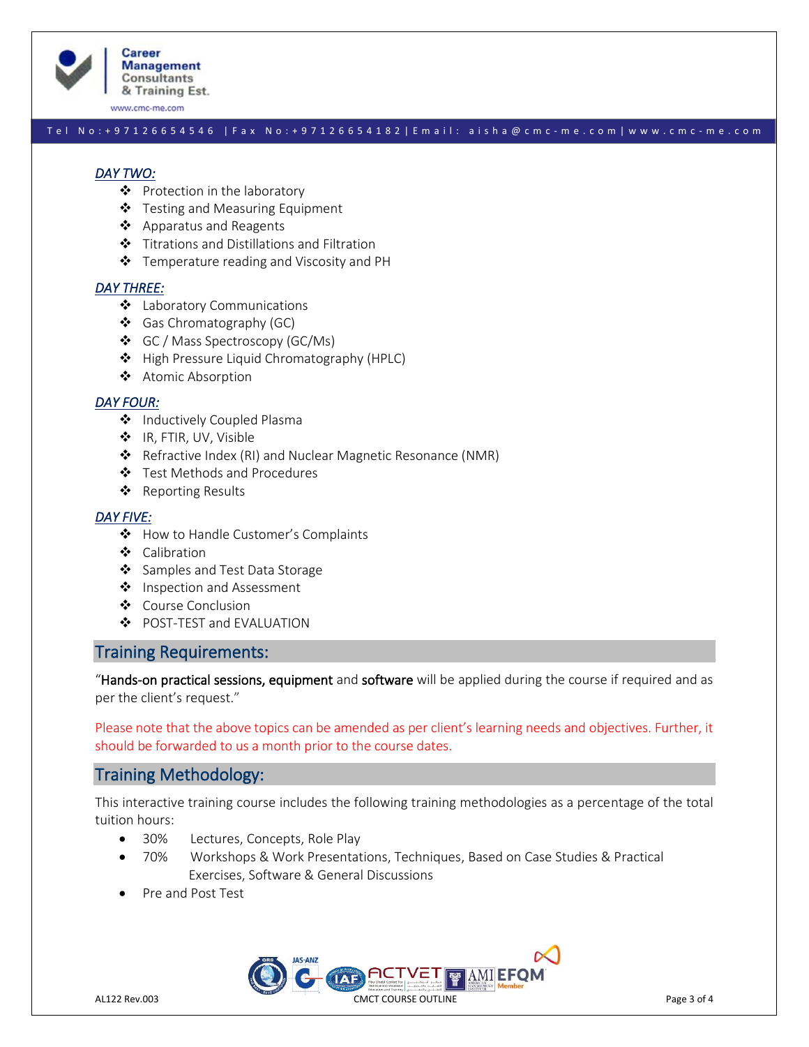

**Career Management Consultants** & Training Est.

www.cmc-me.com

#### T e l N o : + 9 7 1 2 6 6 5 4 5 4 6 | F a x No: + 9 7 1 2 6 6 5 4 1 8 2 | E m a i l : a i s h a @ c m c - m e . c o m | w w w . c m c - m e . c o m

#### *DAY TWO:*

- ❖ Protection in the laboratory
- ❖ Testing and Measuring Equipment
- ❖ Apparatus and Reagents
- ❖ Titrations and Distillations and Filtration
- ❖ Temperature reading and Viscosity and PH

#### *DAY THREE:*

- ❖ Laboratory Communications
- ❖ Gas Chromatography (GC)
- ❖ GC / Mass Spectroscopy (GC/Ms)
- ❖ High Pressure Liquid Chromatography (HPLC)
- ❖ Atomic Absorption

#### *DAY FOUR:*

- ❖ Inductively Coupled Plasma
- ❖ IR, FTIR, UV, Visible
- ❖ Refractive Index (RI) and Nuclear Magnetic Resonance (NMR)
- ❖ Test Methods and Procedures
- ❖ Reporting Results

#### *DAY FIVE:*

- ❖ How to Handle Customer's Complaints
- ❖ Calibration
- ❖ Samples and Test Data Storage
- ❖ Inspection and Assessment
- ❖ Course Conclusion
- ❖ POST-TEST and EVALUATION

### Training Requirements:

"Hands-on practical sessions, equipment and software will be applied during the course if required and as per the client's request."

Please note that the above topics can be amended as per client's learning needs and objectives. Further, it should be forwarded to us a month prior to the course dates.

# Training Methodology:

This interactive training course includes the following training methodologies as a percentage of the total tuition hours:

- 30% Lectures, Concepts, Role Play
- 70% Workshops & Work Presentations, Techniques, Based on Case Studies & Practical Exercises, Software & General Discussions
- Pre and Post Test